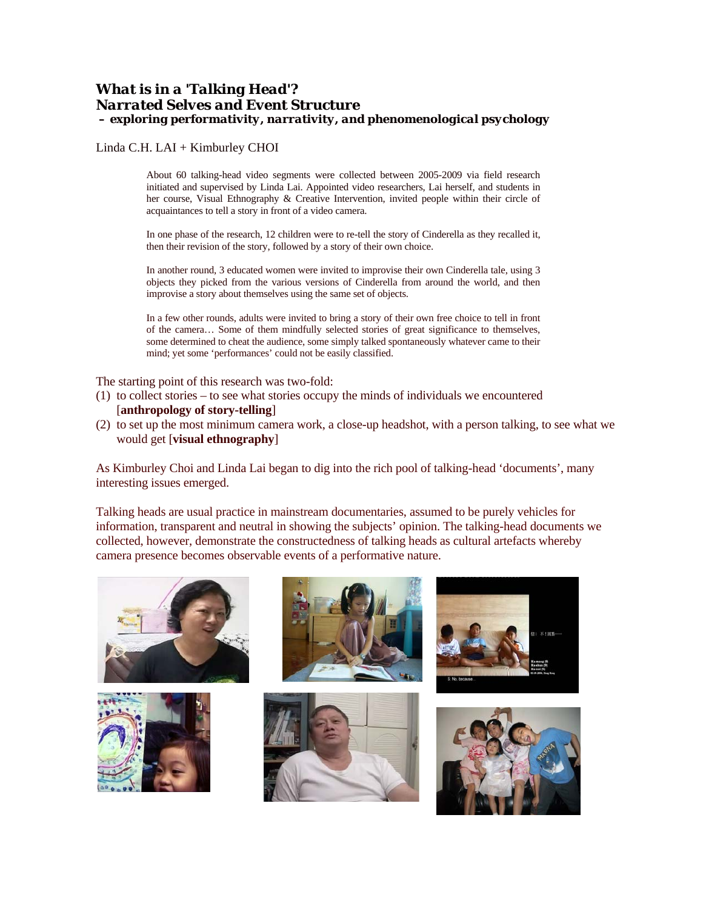## *What is in a 'Talking Head'? Narrated Selves and Event Structure – exploring performativity, narrativity, and phenomenological psychology*

Linda C.H. LAI + Kimburley CHOI

About 60 talking-head video segments were collected between 2005-2009 via field research initiated and supervised by Linda Lai. Appointed video researchers, Lai herself, and students in her course, Visual Ethnography & Creative Intervention, invited people within their circle of acquaintances to tell a story in front of a video camera.

In one phase of the research, 12 children were to re-tell the story of Cinderella as they recalled it, then their revision of the story, followed by a story of their own choice.

In another round, 3 educated women were invited to improvise their own Cinderella tale, using 3 objects they picked from the various versions of Cinderella from around the world, and then improvise a story about themselves using the same set of objects.

In a few other rounds, adults were invited to bring a story of their own free choice to tell in front of the camera… Some of them mindfully selected stories of great significance to themselves, some determined to cheat the audience, some simply talked spontaneously whatever came to their mind; yet some 'performances' could not be easily classified.

The starting point of this research was two-fold:

- (1) to collect stories to see what stories occupy the minds of individuals we encountered [**anthropology of story-telling**]
- (2) to set up the most minimum camera work, a close-up headshot, with a person talking, to see what we would get [**visual ethnography**]

As Kimburley Choi and Linda Lai began to dig into the rich pool of talking-head 'documents', many interesting issues emerged.

Talking heads are usual practice in mainstream documentaries, assumed to be purely vehicles for information, transparent and neutral in showing the subjects' opinion. The talking-head documents we collected, however, demonstrate the constructedness of talking heads as cultural artefacts whereby camera presence becomes observable events of a performative nature.